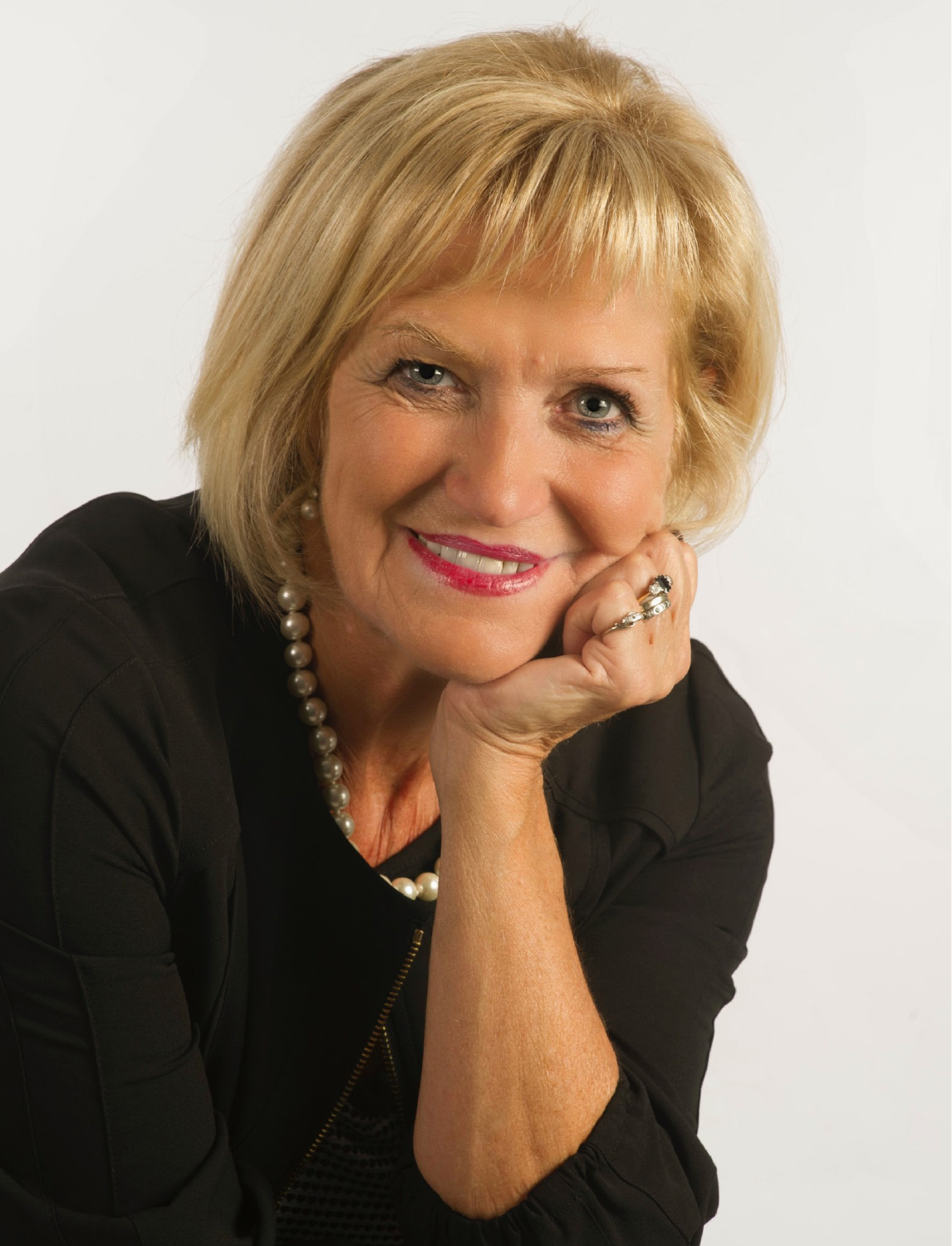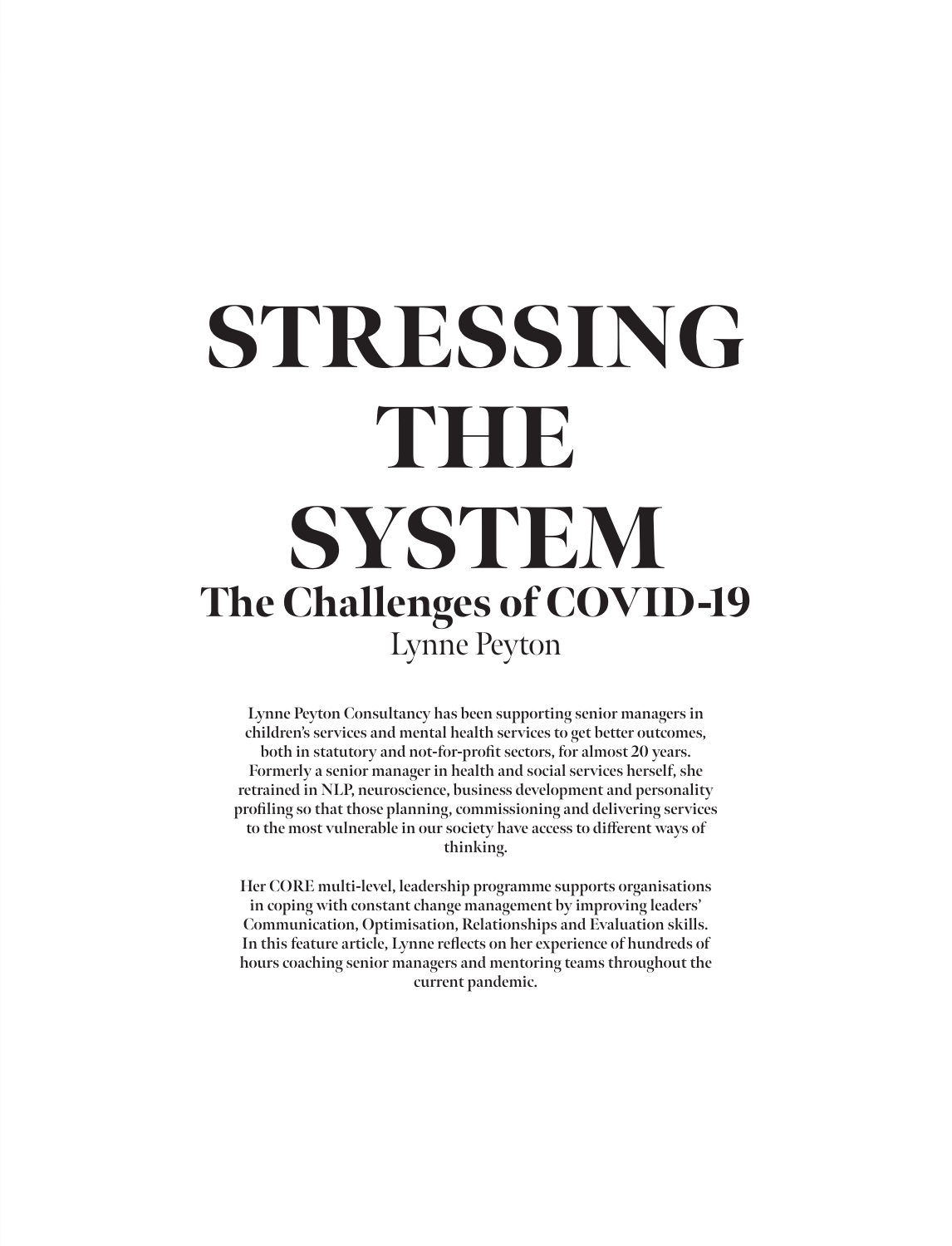# STRESSING THE SYSTEM The Challenges of COVID-19 Lynne Peyton

**Lynne Peyton Consultancy has been supporting senior managers in children's services and mental health services to get better outcomes, both in statutory and not-for-profit sectors, for almost 20 years. Formerly a senior manager in health and social services herself, she retrained in NLP, neuroscience, business development and personality profiling so that those planning, commissioning and delivering services to the most vulnerable in our society have access to different ways of thinking.**

**Her CORE multi-level, leadership programme supports organisations in coping with constant change management by improving leaders' Communication, Optimisation, Relationships and Evaluation skills. In this feature article, Lynne reflects on her experience of hundreds of hours coaching senior managers and mentoring teams throughout the current pandemic.**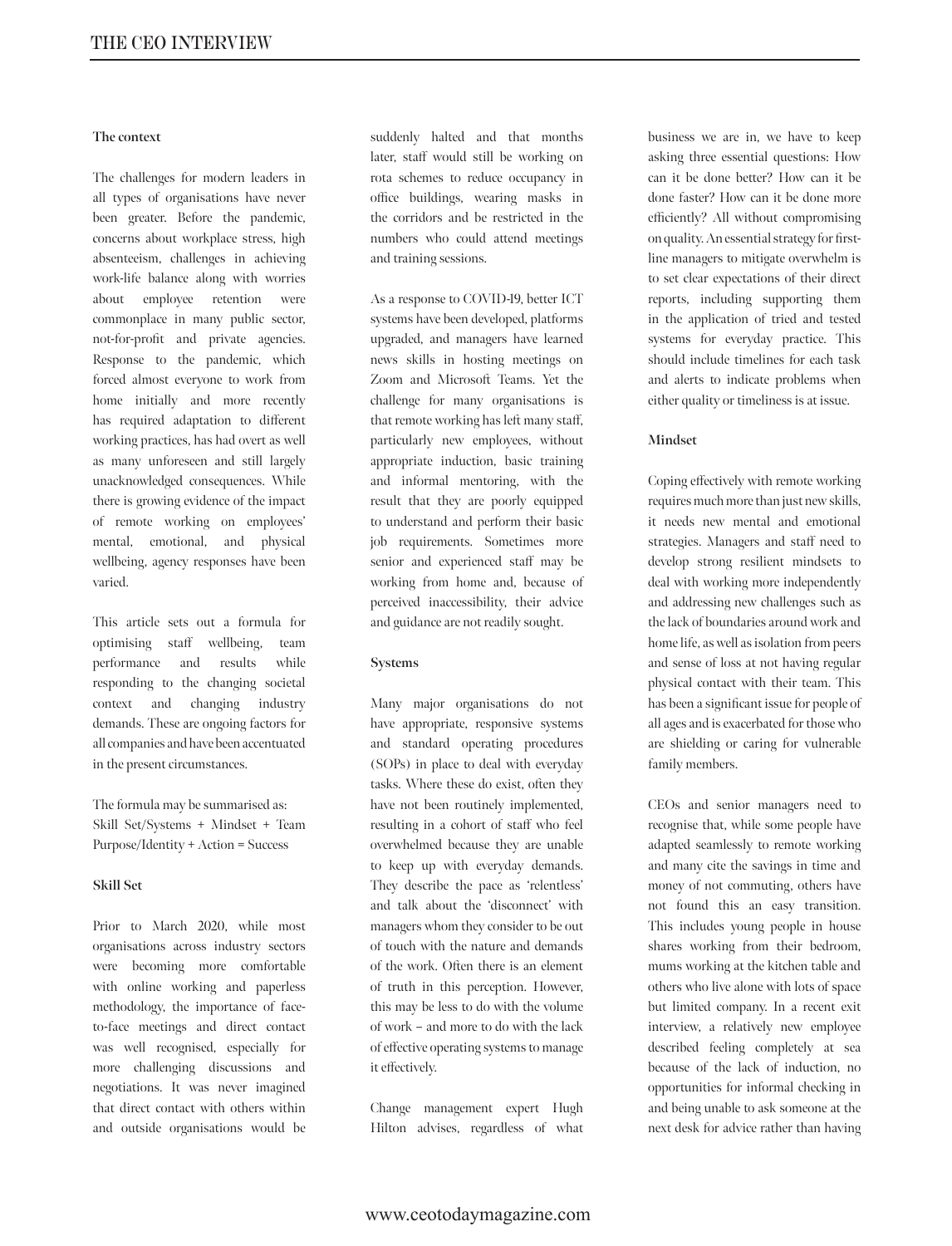### **The context**

The challenges for modern leaders in all types of organisations have never been greater. Before the pandemic, concerns about workplace stress, high absenteeism, challenges in achieving work-life balance along with worries about employee retention were commonplace in many public sector, not-for-profit and private agencies. Response to the pandemic, which forced almost everyone to work from home initially and more recently has required adaptation to different working practices, has had overt as well as many unforeseen and still largely unacknowledged consequences. While there is growing evidence of the impact of remote working on employees' mental, emotional, and physical wellbeing, agency responses have been varied.

This article sets out a formula for optimising staff wellbeing, team performance and results while responding to the changing societal context and changing industry demands. These are ongoing factors for all companies and have been accentuated in the present circumstances.

The formula may be summarised as: Skill Set/Systems + Mindset + Team Purpose/Identity + Action = Success

### **Skill Set**

Prior to March 2020, while most organisations across industry sectors were becoming more comfortable with online working and paperless methodology, the importance of faceto-face meetings and direct contact was well recognised, especially for more challenging discussions and negotiations. It was never imagined that direct contact with others within and outside organisations would be

suddenly halted and that months later, staff would still be working on rota schemes to reduce occupancy in office buildings, wearing masks in the corridors and be restricted in the numbers who could attend meetings and training sessions.

As a response to COVID-19, better ICT systems have been developed, platforms upgraded, and managers have learned news skills in hosting meetings on Zoom and Microsoft Teams. Yet the challenge for many organisations is that remote working has left many staff, particularly new employees, without appropriate induction, basic training and informal mentoring, with the result that they are poorly equipped to understand and perform their basic job requirements. Sometimes more senior and experienced staff may be working from home and, because of perceived inaccessibility, their advice and guidance are not readily sought.

#### **Systems**

Many major organisations do not have appropriate, responsive systems and standard operating procedures (SOPs) in place to deal with everyday tasks. Where these do exist, often they have not been routinely implemented, resulting in a cohort of staff who feel overwhelmed because they are unable to keep up with everyday demands. They describe the pace as 'relentless' and talk about the 'disconnect' with managers whom they consider to be out of touch with the nature and demands of the work. Often there is an element of truth in this perception. However, this may be less to do with the volume of work – and more to do with the lack of effective operating systems to manage it effectively.

Change management expert Hugh Hilton advises, regardless of what business we are in, we have to keep asking three essential questions: How can it be done better? How can it be done faster? How can it be done more efficiently? All without compromising on quality. An essential strategy for firstline managers to mitigate overwhelm is to set clear expectations of their direct reports, including supporting them in the application of tried and tested systems for everyday practice. This should include timelines for each task and alerts to indicate problems when either quality or timeliness is at issue.

## **Mindset**

Coping effectively with remote working requires much more than just new skills, it needs new mental and emotional strategies. Managers and staff need to develop strong resilient mindsets to deal with working more independently and addressing new challenges such as the lack of boundaries around work and home life, as well as isolation from peers and sense of loss at not having regular physical contact with their team. This has been a significant issue for people of all ages and is exacerbated for those who are shielding or caring for vulnerable family members.

CEOs and senior managers need to recognise that, while some people have adapted seamlessly to remote working and many cite the savings in time and money of not commuting, others have not found this an easy transition. This includes young people in house shares working from their bedroom, mums working at the kitchen table and others who live alone with lots of space but limited company. In a recent exit interview, a relatively new employee described feeling completely at sea because of the lack of induction, no opportunities for informal checking in and being unable to ask someone at the next desk for advice rather than having